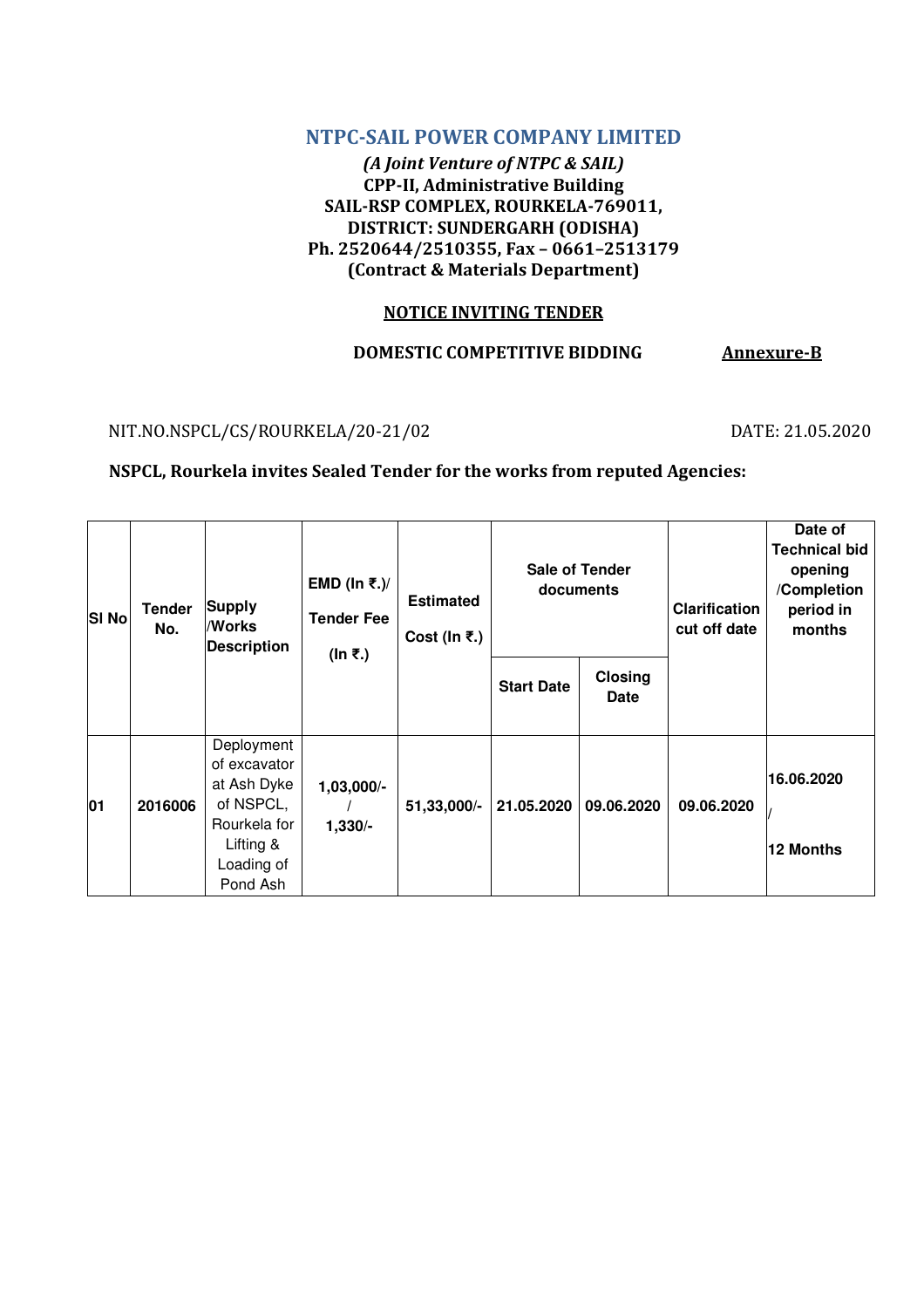## NTPC-SAIL POWER COMPANY LIMITED

(A Joint Venture of NTPC & SAIL) CPP-II, Administrative Building SAIL-RSP COMPLEX, ROURKELA-769011, DISTRICT: SUNDERGARH (ODISHA) Ph. 2520644/2510355, Fax – 0661–2513179 (Contract & Materials Department)

### NOTICE INVITING TENDER

## DOMESTIC COMPETITIVE BIDDING Annexure-B

NIT.NO.NSPCL/CS/ROURKELA/20-21/02 DATE: 21.05.2020

### NSPCL, Rourkela invites Sealed Tender for the works from reputed Agencies:

| <b>SI No</b> | <b>Tender</b><br>No. | <b>Supply</b><br>/Works<br><b>Description</b>                                                                 | EMD (In ₹.)/<br><b>Tender Fee</b><br>(In ₹.) | <b>Estimated</b><br>Cost (In $\overline{\epsilon}$ .) | <b>Sale of Tender</b><br>documents |                               | <b>Clarification</b><br>cut off date | Date of<br><b>Technical bid</b><br>opening<br>/Completion<br>period in<br>months |
|--------------|----------------------|---------------------------------------------------------------------------------------------------------------|----------------------------------------------|-------------------------------------------------------|------------------------------------|-------------------------------|--------------------------------------|----------------------------------------------------------------------------------|
|              |                      |                                                                                                               |                                              |                                                       | <b>Start Date</b>                  | <b>Closing</b><br><b>Date</b> |                                      |                                                                                  |
| 01           | 2016006              | Deployment<br>of excavator<br>at Ash Dyke<br>of NSPCL,<br>Rourkela for<br>Lifting &<br>Loading of<br>Pond Ash | $1,03,000/-$<br>$1,330/-$                    | 51,33,000/-                                           | 21.05.2020                         | 09.06.2020                    | 09.06.2020                           | 16.06.2020<br>12 Months                                                          |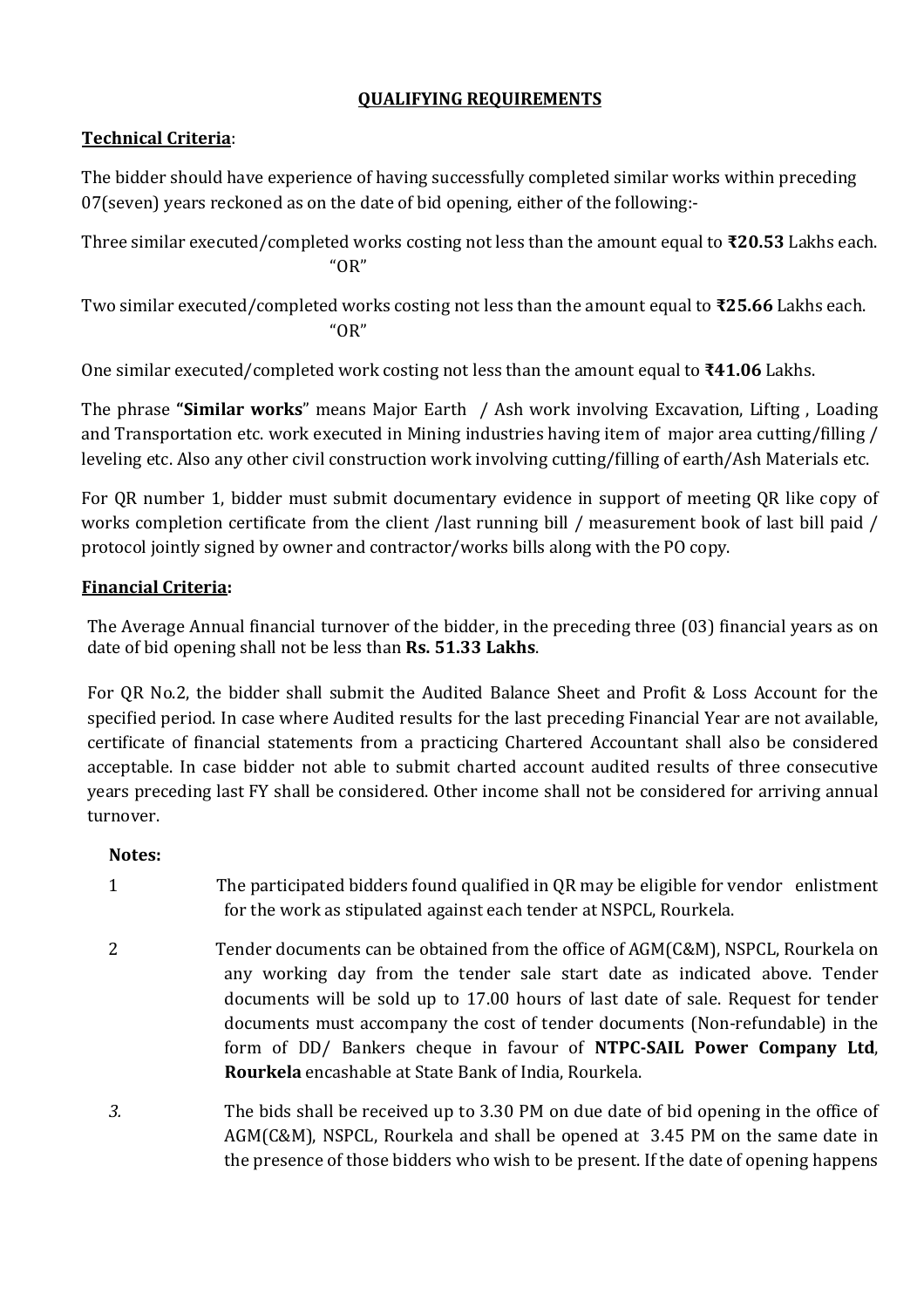# QUALIFYING REQUIREMENTS

# Technical Criteria:

The bidder should have experience of having successfully completed similar works within preceding 07(seven) years reckoned as on the date of bid opening, either of the following:-

Three similar executed/completed works costing not less than the amount equal to ₹20.53 Lakhs each. "OR"

Two similar executed/completed works costing not less than the amount equal to ₹25.66 Lakhs each. "OR"

One similar executed/completed work costing not less than the amount equal to  $\text{F41.06}$  Lakhs.

The phrase "Similar works" means Major Earth / Ash work involving Excavation, Lifting, Loading and Transportation etc. work executed in Mining industries having item of major area cutting/filling / leveling etc. Also any other civil construction work involving cutting/filling of earth/Ash Materials etc.

For QR number 1, bidder must submit documentary evidence in support of meeting QR like copy of works completion certificate from the client /last running bill / measurement book of last bill paid / protocol jointly signed by owner and contractor/works bills along with the PO copy.

# Financial Criteria:

The Average Annual financial turnover of the bidder, in the preceding three (03) financial years as on date of bid opening shall not be less than Rs. 51.33 Lakhs.

For QR No.2, the bidder shall submit the Audited Balance Sheet and Profit & Loss Account for the specified period. In case where Audited results for the last preceding Financial Year are not available, certificate of financial statements from a practicing Chartered Accountant shall also be considered acceptable. In case bidder not able to submit charted account audited results of three consecutive years preceding last FY shall be considered. Other income shall not be considered for arriving annual turnover.

### Notes:

- 1 The participated bidders found qualified in QR may be eligible for vendor enlistment for the work as stipulated against each tender at NSPCL, Rourkela.
- 2 Tender documents can be obtained from the office of AGM(C&M), NSPCL, Rourkela on any working day from the tender sale start date as indicated above. Tender documents will be sold up to 17.00 hours of last date of sale. Request for tender documents must accompany the cost of tender documents (Non-refundable) in the form of DD/ Bankers cheque in favour of NTPC-SAIL Power Company Ltd, Rourkela encashable at State Bank of India, Rourkela.
- 3. The bids shall be received up to 3.30 PM on due date of bid opening in the office of AGM(C&M), NSPCL, Rourkela and shall be opened at 3.45 PM on the same date in the presence of those bidders who wish to be present. If the date of opening happens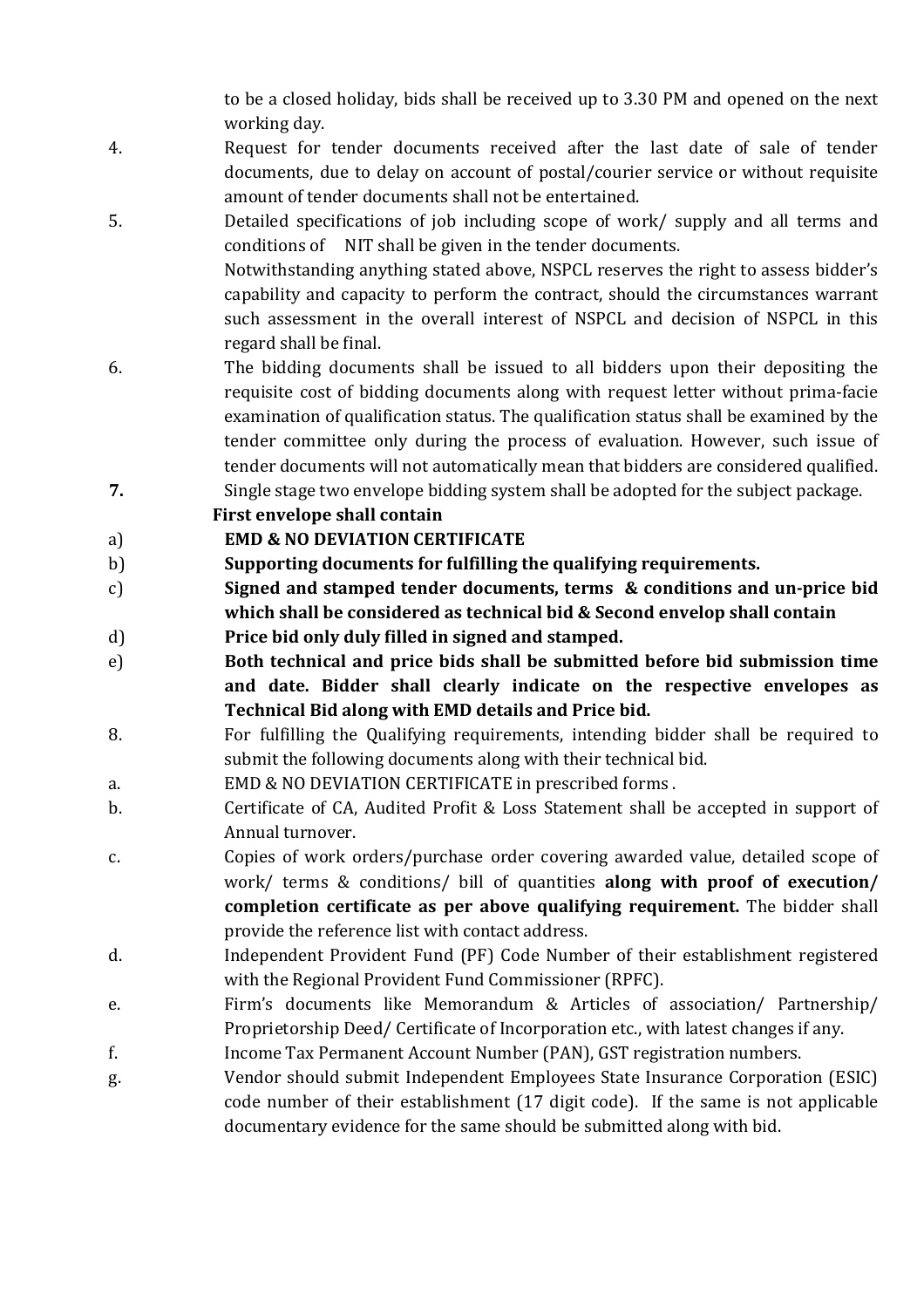to be a closed holiday, bids shall be received up to 3.30 PM and opened on the next working day.

- 4. Request for tender documents received after the last date of sale of tender documents, due to delay on account of postal/courier service or without requisite amount of tender documents shall not be entertained.
- 5. Detailed specifications of job including scope of work/ supply and all terms and conditions of NIT shall be given in the tender documents. Notwithstanding anything stated above, NSPCL reserves the right to assess bidder's capability and capacity to perform the contract, should the circumstances warrant such assessment in the overall interest of NSPCL and decision of NSPCL in this
- 6. The bidding documents shall be issued to all bidders upon their depositing the requisite cost of bidding documents along with request letter without prima-facie examination of qualification status. The qualification status shall be examined by the tender committee only during the process of evaluation. However, such issue of tender documents will not automatically mean that bidders are considered qualified.
- 7. Single stage two envelope bidding system shall be adopted for the subject package.

First envelope shall contain

# a) EMD & NO DEVIATION CERTIFICATE

regard shall be final.

- b) Supporting documents for fulfilling the qualifying requirements.
- c) Signed and stamped tender documents, terms & conditions and un-price bid which shall be considered as technical bid & Second envelop shall contain
- d) Price bid only duly filled in signed and stamped.
- e) Both technical and price bids shall be submitted before bid submission time and date. Bidder shall clearly indicate on the respective envelopes as Technical Bid along with EMD details and Price bid.
- 8. For fulfilling the Qualifying requirements, intending bidder shall be required to submit the following documents along with their technical bid.
- a. EMD & NO DEVIATION CERTIFICATE in prescribed forms .
- b. Certificate of CA, Audited Profit & Loss Statement shall be accepted in support of Annual turnover.
- c. Copies of work orders/purchase order covering awarded value, detailed scope of work/ terms & conditions/ bill of quantities along with proof of execution/ completion certificate as per above qualifying requirement. The bidder shall provide the reference list with contact address.
- d. Independent Provident Fund (PF) Code Number of their establishment registered with the Regional Provident Fund Commissioner (RPFC).
- e. Firm's documents like Memorandum & Articles of association/ Partnership/ Proprietorship Deed/ Certificate of Incorporation etc., with latest changes if any.
- f. Income Tax Permanent Account Number (PAN), GST registration numbers.
- g. Vendor should submit Independent Employees State Insurance Corporation (ESIC) code number of their establishment (17 digit code). If the same is not applicable documentary evidence for the same should be submitted along with bid.